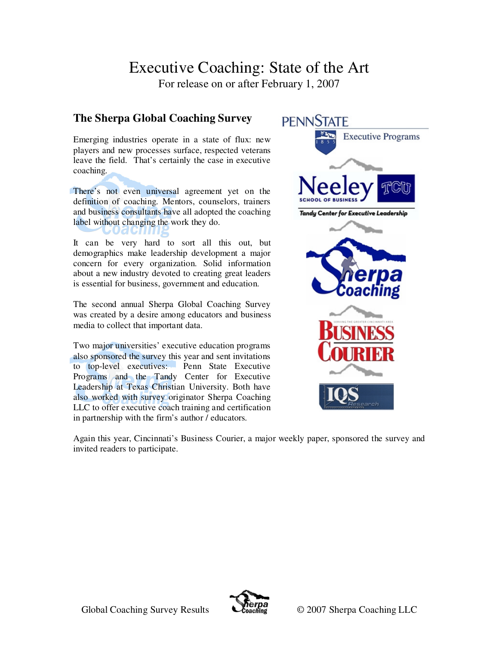# Executive Coaching: State of the Art

For release on or after February 1, 2007

## **The Sherpa Global Coaching Survey**

Emerging industries operate in a state of flux: new players and new processes surface, respected veterans leave the field. That's certainly the case in executive coaching.

There's not even universal agreement yet on the definition of coaching. Mentors, counselors, trainers and business consultants have all adopted the coaching label without changing the work they do.

It can be very hard to sort all this out, but demographics make leadership development a major concern for every organization. Solid information about a new industry devoted to creating great leaders is essential for business, government and education.

The second annual Sherpa Global Coaching Survey was created by a desire among educators and business media to collect that important data.

Two major universities' executive education programs also sponsored the survey this year and sent invitations to top-level executives: Penn State Executive Programs and the Tandy Center for Executive Leadership at Texas Christian University. Both have also worked with survey originator Sherpa Coaching LLC to offer executive coach training and certification in partnership with the firm's author / educators.



Again this year, Cincinnati's Business Courier, a major weekly paper, sponsored the survey and invited readers to participate.

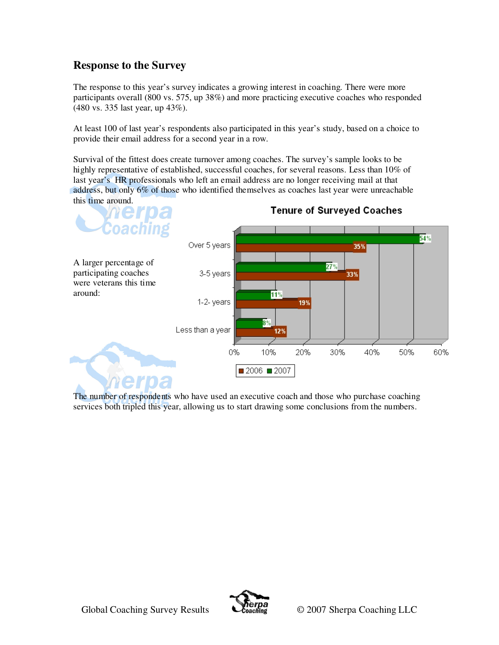## **Response to the Survey**

The response to this year's survey indicates a growing interest in coaching. There were more participants overall (800 vs. 575, up 38%) and more practicing executive coaches who responded (480 vs. 335 last year, up 43%).

At least 100 of last year's respondents also participated in this year's study, based on a choice to provide their email address for a second year in a row.

Survival of the fittest does create turnover among coaches. The survey's sample looks to be highly representative of established, successful coaches, for several reasons. Less than 10% of last year's HR professionals who left an email address are no longer receiving mail at that address, but only 6% of those who identified themselves as coaches last year were unreachable this time around.



The number of respondents who have used an executive coach and those who purchase coaching services both tripled this year, allowing us to start drawing some conclusions from the numbers.

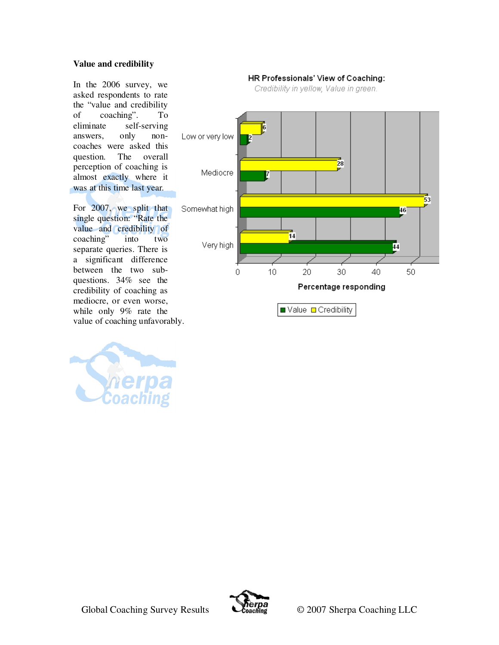#### **Value and credibility**

In the 2006 survey, we asked respondents to rate the "value and credibility of coaching". To eliminate self-serving answers, only noncoaches were asked this question. The overall perception of coaching is almost exactly where it was at this time last year.

For 2007, we split that single question: "Rate the value and credibility of coaching" into two separate queries. There is a significant difference between the two subquestions. 34% see the credibility of coaching as mediocre, or even worse, while only 9% rate the value of coaching unfavorably.



## Low or very low  $\overline{28}$ Mediocre 53 Somewhat high 46  $\hat{\mathbf{u}}$ Very high 44 0 10 20 30 40 50 Percentage responding

#### HR Professionals' View of Coaching:

Credibility in yellow, Value in green.

■ Value □ Credibility

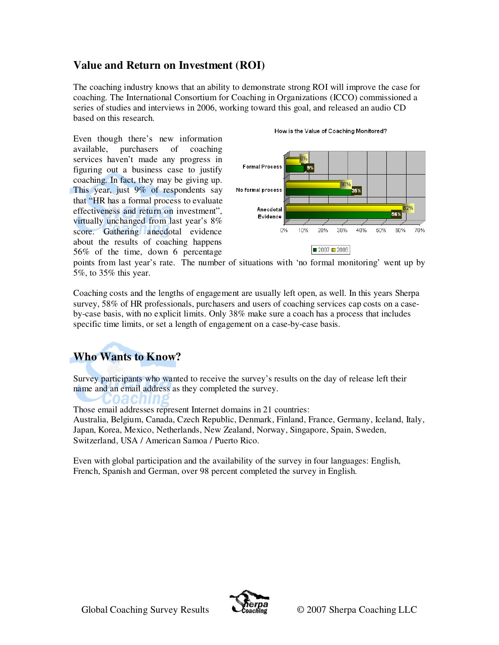## **Value and Return on Investment (ROI)**

The coaching industry knows that an ability to demonstrate strong ROI will improve the case for coaching. The International Consortium for Coaching in Organizations (ICCO) commissioned a series of studies and interviews in 2006, working toward this goal, and released an audio CD based on this research.

Even though there's new information available, purchasers of coaching services haven't made any progress in figuring out a business case to justify coaching. In fact, they may be giving up. This year, just 9% of respondents say that "HR has a formal process to evaluate effectiveness and return on investment", virtually unchanged from last year's 8% score. Gathering anecdotal evidence about the results of coaching happens 56% of the time, down 6 percentage



#### How is the Value of Coaching Monitored?

points from last year's rate. The number of situations with 'no formal monitoring' went up by 5%, to 35% this year.

Coaching costs and the lengths of engagement are usually left open, as well. In this years Sherpa survey, 58% of HR professionals, purchasers and users of coaching services cap costs on a caseby-case basis, with no explicit limits. Only 38% make sure a coach has a process that includes specific time limits, or set a length of engagement on a case-by-case basis.

## **Who Wants to Know?**

Survey participants who wanted to receive the survey's results on the day of release left their name and an email address as they completed the survey.

;oachl Those email addresses represent Internet domains in 21 countries: Australia, Belgium, Canada, Czech Republic, Denmark, Finland, France, Germany, Iceland, Italy, Japan, Korea, Mexico, Netherlands, New Zealand, Norway, Singapore, Spain, Sweden, Switzerland, USA / American Samoa / Puerto Rico.

Even with global participation and the availability of the survey in four languages: English, French, Spanish and German, over 98 percent completed the survey in English.

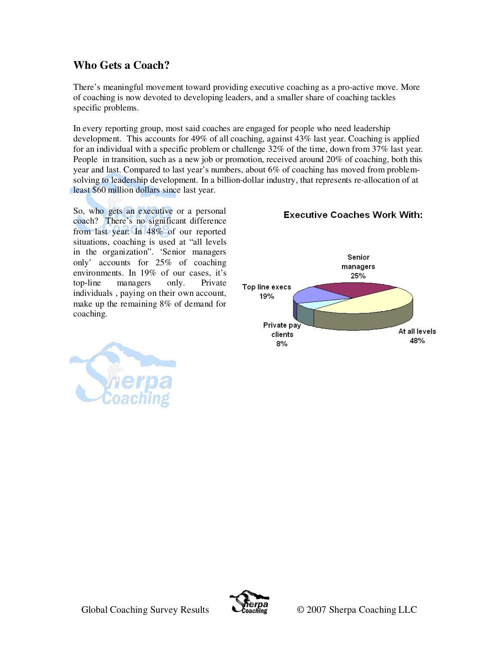## **Who Gets a Coach?**

There's meaningful movement toward providing executive coaching as a pro-active move. More of coaching is now devoted to developing leaders, and a smaller share of coaching tackles specific problems.

In every reporting group, most said coaches are engaged for people who need leadership development. This accounts for 49% of all coaching, against 43% last year. Coaching is applied for an individual with a specific problem or challenge 32% of the time, down from 37% last year. People in transition, such as a new job or promotion, received around 20% of coaching, both this year and last. Compared to last year's numbers, about 6% of coaching has moved from problemsolving to leadership development. In a billion-dollar industry, that represents re-allocation of at least \$60 million dollars since last year.

So, who gets an executive or a personal coach? There's no significant difference from last year: In 48% of our reported situations, coaching is used at "all levels in the organization". 'Senior managers only' accounts for 25% of coaching environments. In 19% of our cases, it's top-line managers only. Private individuals , paying on their own account, make up the remaining 8% of demand for coaching.



### **Executive Coaches Work With:**



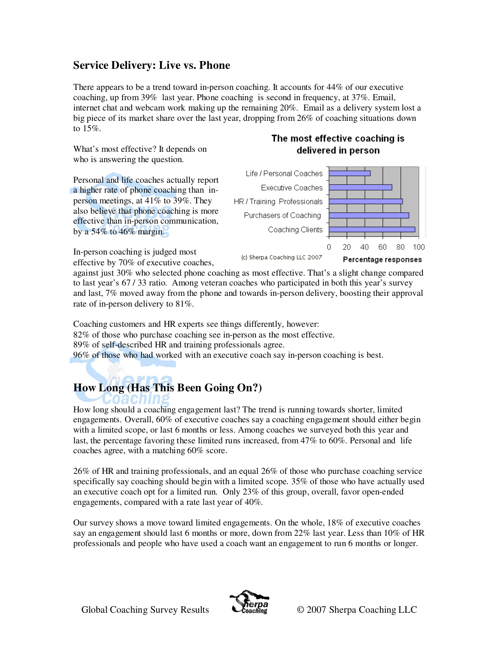## **Service Delivery: Live vs. Phone**

There appears to be a trend toward in-person coaching. It accounts for 44% of our executive coaching, up from 39% last year. Phone coaching is second in frequency, at 37%. Email, internet chat and webcam work making up the remaining 20%. Email as a delivery system lost a big piece of its market share over the last year, dropping from 26% of coaching situations down to 15%.

What's most effective? It depends on who is answering the question.

## The most effective coaching is delivered in person



In-person coaching is judged most effective by 70% of executive coaches,

by a 54% to 46% margin.

against just 30% who selected phone coaching as most effective. That's a slight change compared to last year's 67 / 33 ratio. Among veteran coaches who participated in both this year's survey and last, 7% moved away from the phone and towards in-person delivery, boosting their approval rate of in-person delivery to 81%.

Coaching customers and HR experts see things differently, however: 82% of those who purchase coaching see in-person as the most effective. 89% of self-described HR and training professionals agree. 96% of those who had worked with an executive coach say in-person coaching is best.

## **How Long (Has This Been Going On?)**

How long should a coaching engagement last? The trend is running towards shorter, limited engagements. Overall, 60% of executive coaches say a coaching engagement should either begin with a limited scope, or last 6 months or less. Among coaches we surveyed both this year and last, the percentage favoring these limited runs increased, from 47% to 60%. Personal and life coaches agree, with a matching 60% score.

26% of HR and training professionals, and an equal 26% of those who purchase coaching service specifically say coaching should begin with a limited scope. 35% of those who have actually used an executive coach opt for a limited run. Only 23% of this group, overall, favor open-ended engagements, compared with a rate last year of 40%.

Our survey shows a move toward limited engagements. On the whole, 18% of executive coaches say an engagement should last 6 months or more, down from 22% last year. Less than 10% of HR professionals and people who have used a coach want an engagement to run 6 months or longer.

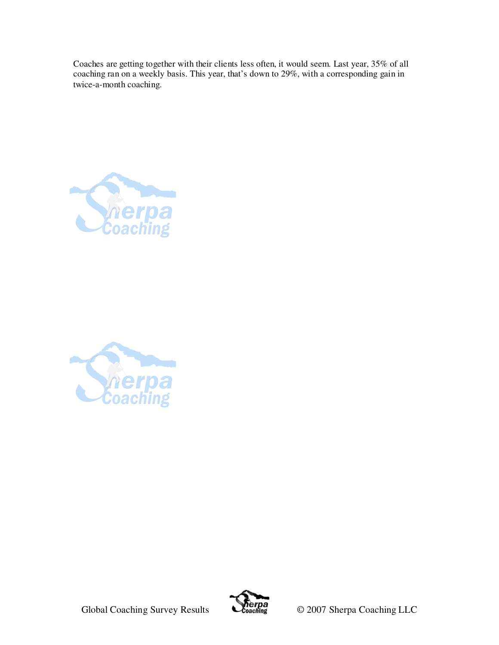Coaches are getting together with their clients less often, it would seem. Last year, 35% of all coaching ran on a weekly basis. This year, that's down to 29%, with a corresponding gain in twice-a-month coaching.







Global Coaching Survey Results Coaching  $\bigcirc$  2007 Sherpa Coaching LLC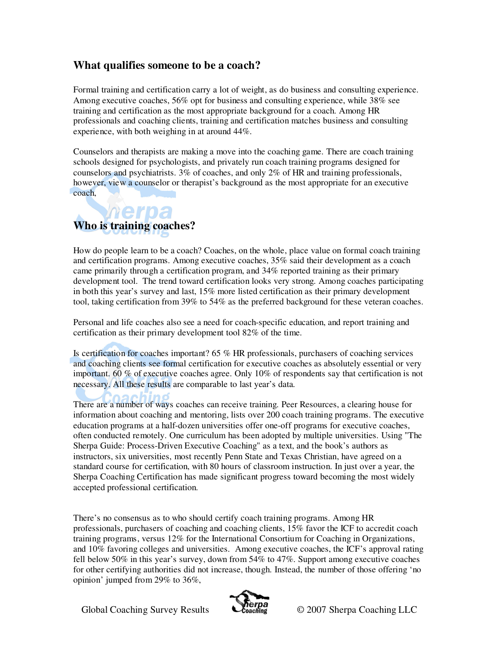## **What qualifies someone to be a coach?**

Formal training and certification carry a lot of weight, as do business and consulting experience. Among executive coaches, 56% opt for business and consulting experience, while 38% see training and certification as the most appropriate background for a coach. Among HR professionals and coaching clients, training and certification matches business and consulting experience, with both weighing in at around 44%.

Counselors and therapists are making a move into the coaching game. There are coach training schools designed for psychologists, and privately run coach training programs designed for counselors and psychiatrists. 3% of coaches, and only 2% of HR and training professionals, however, view a counselor or therapist's background as the most appropriate for an executive coach,

# Who is training coaches?

How do people learn to be a coach? Coaches, on the whole, place value on formal coach training and certification programs. Among executive coaches, 35% said their development as a coach came primarily through a certification program, and 34% reported training as their primary development tool. The trend toward certification looks very strong. Among coaches participating in both this year's survey and last, 15% more listed certification as their primary development tool, taking certification from 39% to 54% as the preferred background for these veteran coaches.

Personal and life coaches also see a need for coach-specific education, and report training and certification as their primary development tool 82% of the time.

Is certification for coaches important? 65 % HR professionals, purchasers of coaching services and coaching clients see formal certification for executive coaches as absolutely essential or very important. 60 % of executive coaches agree. Only 10% of respondents say that certification is not necessary. All these results are comparable to last year's data.

There are a number of ways coaches can receive training. Peer Resources, a clearing house for information about coaching and mentoring, lists over 200 coach training programs. The executive education programs at a half-dozen universities offer one-off programs for executive coaches, often conducted remotely. One curriculum has been adopted by multiple universities. Using "The Sherpa Guide: Process-Driven Executive Coaching" as a text, and the book's authors as instructors, six universities, most recently Penn State and Texas Christian, have agreed on a standard course for certification, with 80 hours of classroom instruction. In just over a year, the Sherpa Coaching Certification has made significant progress toward becoming the most widely accepted professional certification.

There's no consensus as to who should certify coach training programs. Among HR professionals, purchasers of coaching and coaching clients, 15% favor the ICF to accredit coach training programs, versus 12% for the International Consortium for Coaching in Organizations, and 10% favoring colleges and universities. Among executive coaches, the ICF's approval rating fell below 50% in this year's survey, down from 54% to 47%. Support among executive coaches for other certifying authorities did not increase, though. Instead, the number of those offering 'no opinion' jumped from 29% to 36%,

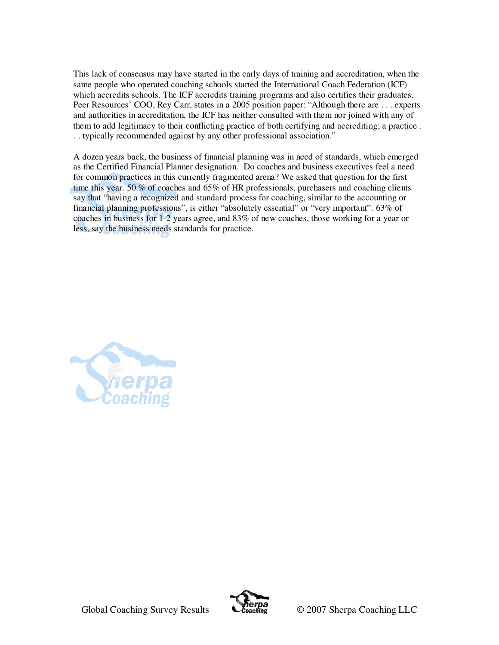This lack of consensus may have started in the early days of training and accreditation, when the same people who operated coaching schools started the International Coach Federation (ICF) which accredits schools. The ICF accredits training programs and also certifies their graduates. Peer Resources' COO, Rey Carr, states in a 2005 position paper: "Although there are . . . experts and authorities in accreditation, the ICF has neither consulted with them nor joined with any of them to add legitimacy to their conflicting practice of both certifying and accrediting; a practice . . . typically recommended against by any other professional association."

A dozen years back, the business of financial planning was in need of standards, which emerged as the Certified Financial Planner designation. Do coaches and business executives feel a need for common practices in this currently fragmented arena? We asked that question for the first time this year. 50 % of coaches and 65% of HR professionals, purchasers and coaching clients say that "having a recognized and standard process for coaching, similar to the accounting or financial planning professions", is either "absolutely essential" or "very important". 63% of coaches in business for 1-2 years agree, and 83% of new coaches, those working for a year or less, say the business needs standards for practice.



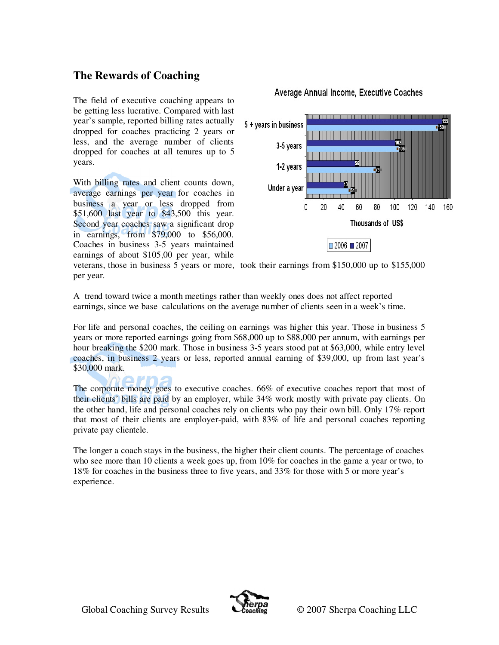## **The Rewards of Coaching**

The field of executive coaching appears to be getting less lucrative. Compared with last year's sample, reported billing rates actually dropped for coaches practicing 2 years or less, and the average number of clients dropped for coaches at all tenures up to 5 years.

With billing rates and client counts down, average earnings per year for coaches in business a year or less dropped from \$51,600 last year to \$43,500 this year. Second year coaches saw a significant drop in earnings, from \$79,000 to \$56,000. Coaches in business 3-5 years maintained earnings of about \$105,00 per year, while



#### Average Annual Income, Executive Coaches

veterans, those in business 5 years or more, took their earnings from \$150,000 up to \$155,000 per year.

A trend toward twice a month meetings rather than weekly ones does not affect reported earnings, since we base calculations on the average number of clients seen in a week's time.

For life and personal coaches, the ceiling on earnings was higher this year. Those in business 5 years or more reported earnings going from \$68,000 up to \$88,000 per annum, with earnings per hour breaking the \$200 mark. Those in business 3-5 years stood pat at \$63,000, while entry level coaches, in business 2 years or less, reported annual earning of \$39,000, up from last year's \$30,000 mark.

The corporate money goes to executive coaches. 66% of executive coaches report that most of their clients' bills are paid by an employer, while 34% work mostly with private pay clients. On the other hand, life and personal coaches rely on clients who pay their own bill. Only 17% report that most of their clients are employer-paid, with 83% of life and personal coaches reporting private pay clientele.

The longer a coach stays in the business, the higher their client counts. The percentage of coaches who see more than 10 clients a week goes up, from 10% for coaches in the game a year or two, to 18% for coaches in the business three to five years, and 33% for those with 5 or more year's experience.

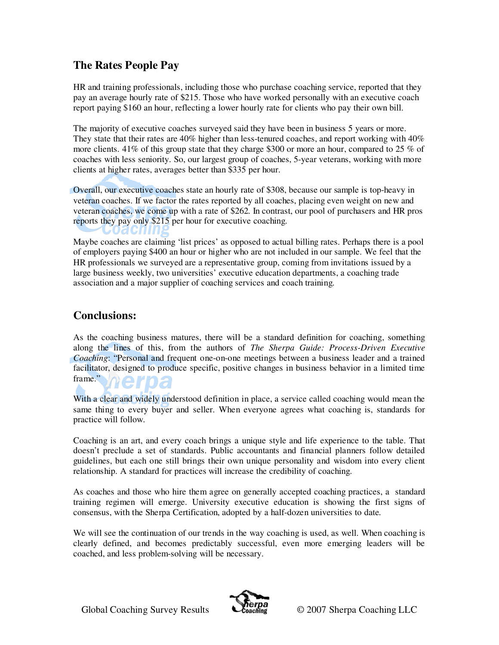## **The Rates People Pay**

HR and training professionals, including those who purchase coaching service, reported that they pay an average hourly rate of \$215. Those who have worked personally with an executive coach report paying \$160 an hour, reflecting a lower hourly rate for clients who pay their own bill.

The majority of executive coaches surveyed said they have been in business 5 years or more. They state that their rates are 40% higher than less-tenured coaches, and report working with 40% more clients. 41% of this group state that they charge \$300 or more an hour, compared to 25 % of coaches with less seniority. So, our largest group of coaches, 5-year veterans, working with more clients at higher rates, averages better than \$335 per hour.

Overall, our executive coaches state an hourly rate of \$308, because our sample is top-heavy in veteran coaches. If we factor the rates reported by all coaches, placing even weight on new and veteran coaches, we come up with a rate of \$262. In contrast, our pool of purchasers and HR pros reports they pay only \$215 per hour for executive coaching.

Maybe coaches are claiming 'list prices' as opposed to actual billing rates. Perhaps there is a pool of employers paying \$400 an hour or higher who are not included in our sample. We feel that the HR professionals we surveyed are a representative group, coming from invitations issued by a large business weekly, two universities' executive education departments, a coaching trade association and a major supplier of coaching services and coach training.

## **Conclusions:**

As the coaching business matures, there will be a standard definition for coaching, something along the lines of this, from the authors of *The Sherpa Guide: Process-Driven Executive Coaching*: "Personal and frequent one-on-one meetings between a business leader and a trained facilitator, designed to produce specific, positive changes in business behavior in a limited time frame."

With a clear and widely understood definition in place, a service called coaching would mean the same thing to every buyer and seller. When everyone agrees what coaching is, standards for practice will follow.

Coaching is an art, and every coach brings a unique style and life experience to the table. That doesn't preclude a set of standards. Public accountants and financial planners follow detailed guidelines, but each one still brings their own unique personality and wisdom into every client relationship. A standard for practices will increase the credibility of coaching.

As coaches and those who hire them agree on generally accepted coaching practices, a standard training regimen will emerge. University executive education is showing the first signs of consensus, with the Sherpa Certification, adopted by a half-dozen universities to date.

We will see the continuation of our trends in the way coaching is used, as well. When coaching is clearly defined, and becomes predictably successful, even more emerging leaders will be coached, and less problem-solving will be necessary.

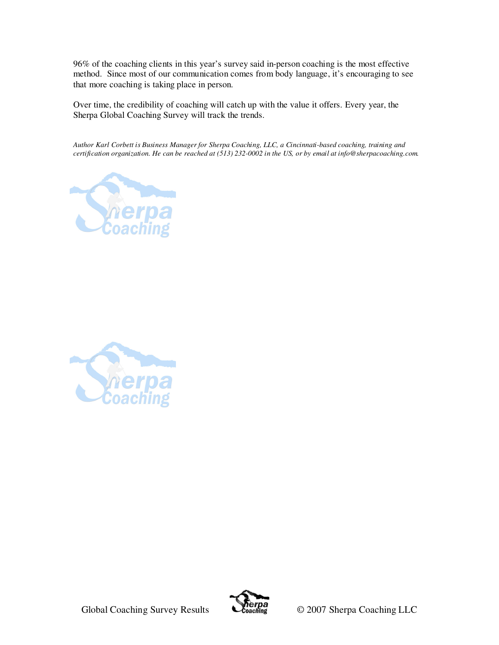96% of the coaching clients in this year's survey said in-person coaching is the most effective method. Since most of our communication comes from body language, it's encouraging to see that more coaching is taking place in person.

Over time, the credibility of coaching will catch up with the value it offers. Every year, the Sherpa Global Coaching Survey will track the trends.

*Author Karl Corbett is Business Manager for Sherpa Coaching, LLC, a Cincinnati-based coaching, training and certification organization. He can be reached at (513) 232-0002 in the US, or by email at info@sherpacoaching.com.* 





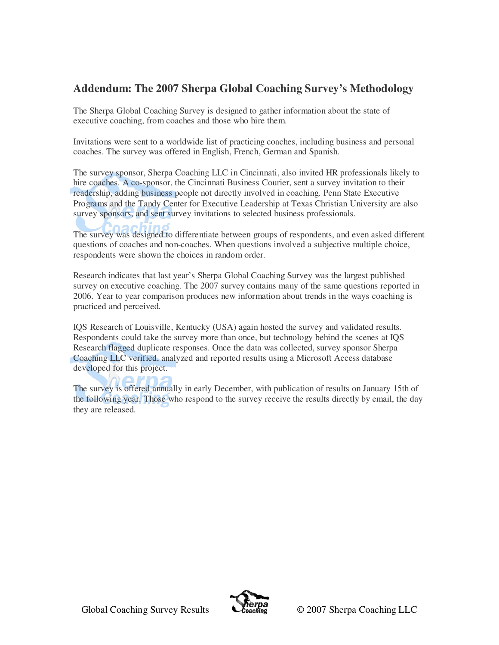## **Addendum: The 2007 Sherpa Global Coaching Survey's Methodology**

The Sherpa Global Coaching Survey is designed to gather information about the state of executive coaching, from coaches and those who hire them.

Invitations were sent to a worldwide list of practicing coaches, including business and personal coaches. The survey was offered in English, French, German and Spanish.

The survey sponsor, Sherpa Coaching LLC in Cincinnati, also invited HR professionals likely to hire coaches. A co-sponsor, the Cincinnati Business Courier, sent a survey invitation to their readership, adding business people not directly involved in coaching. Penn State Executive Programs and the Tandy Center for Executive Leadership at Texas Christian University are also survey sponsors, and sent survey invitations to selected business professionals.

The survey was designed to differentiate between groups of respondents, and even asked different questions of coaches and non-coaches. When questions involved a subjective multiple choice, respondents were shown the choices in random order.

Research indicates that last year's Sherpa Global Coaching Survey was the largest published survey on executive coaching. The 2007 survey contains many of the same questions reported in 2006. Year to year comparison produces new information about trends in the ways coaching is practiced and perceived.

IQS Research of Louisville, Kentucky (USA) again hosted the survey and validated results. Respondents could take the survey more than once, but technology behind the scenes at IQS Research flagged duplicate responses. Once the data was collected, survey sponsor Sherpa Coaching LLC verified, analyzed and reported results using a Microsoft Access database developed for this project.

The survey is offered annually in early December, with publication of results on January 15th of the following year. Those who respond to the survey receive the results directly by email, the day they are released.